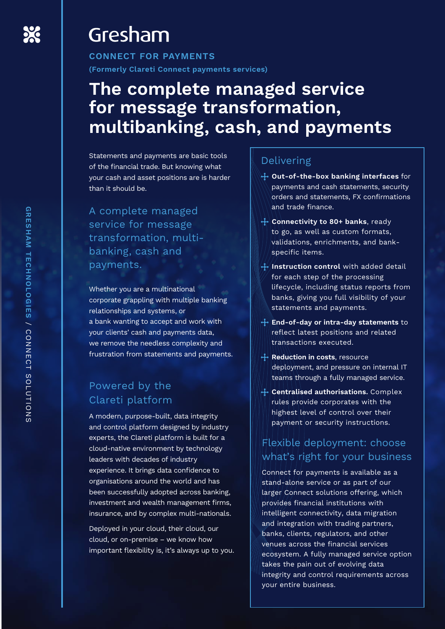# Gresham

**CONNECT FOR PAYMENTS (Formerly Clareti Connect payments services)**

# **The complete managed service for message transformation, multibanking, cash, and payments**

Statements and payments are basic tools of the financial trade. But knowing what your cash and asset positions are is harder than it should be.

A complete managed service for message transformation, multibanking, cash and payments.

Whether you are a multinational corporate grappling with multiple banking relationships and systems, or a bank wanting to accept and work with your clients' cash and payments data, we remove the needless complexity and frustration from statements and payments.

## Powered by the Clareti platform

A modern, purpose-built, data integrity and control platform designed by industry experts, the Clareti platform is built for a cloud-native environment by technology leaders with decades of industry experience. It brings data confidence to organisations around the world and has been successfully adopted across banking, investment and wealth management firms, insurance, and by complex multi-nationals.

Deployed in your cloud, their cloud, our cloud, or on-premise – we know how important flexibility is, it's always up to you.

## Delivering

- **Out-of-the-box banking interfaces** for payments and cash statements, security orders and statements, FX confirmations and trade finance.
- **Connectivity to 80+ banks**, ready to go, as well as custom formats, validations, enrichments, and bankspecific items.
- **If instruction control** with added detail for each step of the processing lifecycle, including status reports from banks, giving you full visibility of your statements and payments.
- **End-of-day or intra-day statements** to reflect latest positions and related transactions executed.
- **Reduction in costs**, resource deployment, and pressure on internal IT teams through a fully managed service.
- **Centralised authorisations.** Complex rules provide corporates with the highest level of control over their payment or security instructions.

## Flexible deployment: choose what's right for your business

Connect for payments is available as a stand-alone service or as part of our larger Connect solutions offering, which provides financial institutions with intelligent connectivity, data migration and integration with trading partners, banks, clients, regulators, and other venues across the financial services ecosystem. A fully managed service option takes the pain out of evolving data integrity and control requirements across your entire business.